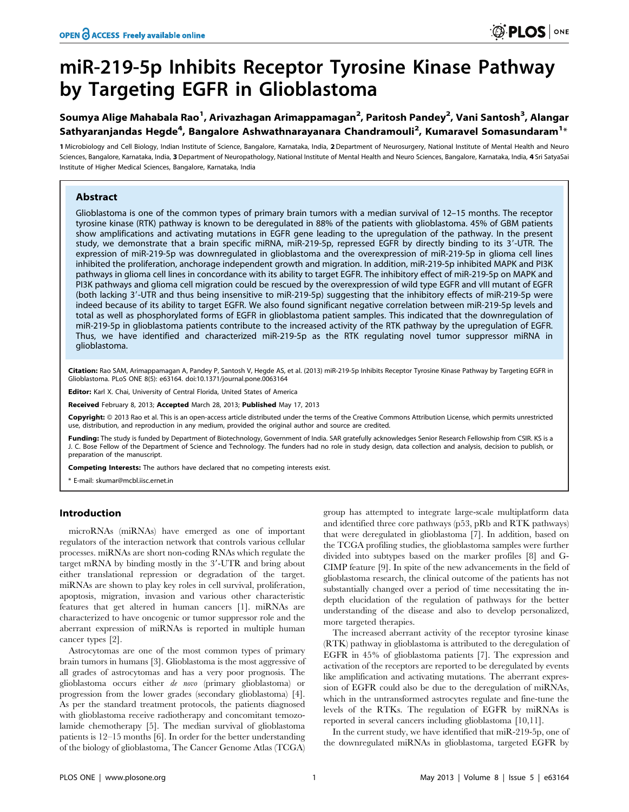# miR-219-5p Inhibits Receptor Tyrosine Kinase Pathway by Targeting EGFR in Glioblastoma

## Soumya Alige Mahabala Rao<sup>1</sup>, Arivazhagan Arimappamagan<sup>2</sup>, Paritosh Pandey<sup>2</sup>, Vani Santosh<sup>3</sup>, Alangar Sathyaranjandas Hegde<sup>4</sup>, Bangalore Ashwathnarayanara Chandramouli<sup>2</sup>, Kumaravel Somasundaram<sup>1</sup>\*

1 Microbiology and Cell Biology, Indian Institute of Science, Bangalore, Karnataka, India, 2 Department of Neurosurgery, National Institute of Mental Health and Neuro Sciences, Bangalore, Karnataka, India, 3 Department of Neuropathology, National Institute of Mental Health and Neuro Sciences, Bangalore, Karnataka, India, 4 Sri SatyaSai Institute of Higher Medical Sciences, Bangalore, Karnataka, India

## Abstract

Glioblastoma is one of the common types of primary brain tumors with a median survival of 12–15 months. The receptor tyrosine kinase (RTK) pathway is known to be deregulated in 88% of the patients with glioblastoma. 45% of GBM patients show amplifications and activating mutations in EGFR gene leading to the upregulation of the pathway. In the present study, we demonstrate that a brain specific miRNA, miR-219-5p, repressed EGFR by directly binding to its 3'-UTR. The expression of miR-219-5p was downregulated in glioblastoma and the overexpression of miR-219-5p in glioma cell lines inhibited the proliferation, anchorage independent growth and migration. In addition, miR-219-5p inhibited MAPK and PI3K pathways in glioma cell lines in concordance with its ability to target EGFR. The inhibitory effect of miR-219-5p on MAPK and PI3K pathways and glioma cell migration could be rescued by the overexpression of wild type EGFR and vIII mutant of EGFR (both lacking 3'-UTR and thus being insensitive to miR-219-5p) suggesting that the inhibitory effects of miR-219-5p were indeed because of its ability to target EGFR. We also found significant negative correlation between miR-219-5p levels and total as well as phosphorylated forms of EGFR in glioblastoma patient samples. This indicated that the downregulation of miR-219-5p in glioblastoma patients contribute to the increased activity of the RTK pathway by the upregulation of EGFR. Thus, we have identified and characterized miR-219-5p as the RTK regulating novel tumor suppressor miRNA in glioblastoma.

Citation: Rao SAM, Arimappamagan A, Pandey P, Santosh V, Hegde AS, et al. (2013) miR-219-5p Inhibits Receptor Tyrosine Kinase Pathway by Targeting EGFR in Glioblastoma. PLoS ONE 8(5): e63164. doi:10.1371/journal.pone.0063164

Editor: Karl X. Chai, University of Central Florida, United States of America

Received February 8, 2013; Accepted March 28, 2013; Published May 17, 2013

Copyright: © 2013 Rao et al. This is an open-access article distributed under the terms of the Creative Commons Attribution License, which permits unrestricted use, distribution, and reproduction in any medium, provided the original author and source are credited.

Funding: The study is funded by Department of Biotechnology, Government of India. SAR gratefully acknowledges Senior Research Fellowship from CSIR. KS is a J. C. Bose Fellow of the Department of Science and Technology. The funders had no role in study design, data collection and analysis, decision to publish, or preparation of the manuscript.

Competing Interests: The authors have declared that no competing interests exist.

\* E-mail: skumar@mcbl.iisc.ernet.in

#### Introduction

microRNAs (miRNAs) have emerged as one of important regulators of the interaction network that controls various cellular processes. miRNAs are short non-coding RNAs which regulate the target mRNA by binding mostly in the  $3'$ -UTR and bring about either translational repression or degradation of the target. miRNAs are shown to play key roles in cell survival, proliferation, apoptosis, migration, invasion and various other characteristic features that get altered in human cancers [1]. miRNAs are characterized to have oncogenic or tumor suppressor role and the aberrant expression of miRNAs is reported in multiple human cancer types [2].

Astrocytomas are one of the most common types of primary brain tumors in humans [3]. Glioblastoma is the most aggressive of all grades of astrocytomas and has a very poor prognosis. The glioblastoma occurs either de novo (primary glioblastoma) or progression from the lower grades (secondary glioblastoma) [4]. As per the standard treatment protocols, the patients diagnosed with glioblastoma receive radiotherapy and concomitant temozolamide chemotherapy [5]. The median survival of glioblastoma patients is 12–15 months [6]. In order for the better understanding of the biology of glioblastoma, The Cancer Genome Atlas (TCGA)

group has attempted to integrate large-scale multiplatform data and identified three core pathways (p53, pRb and RTK pathways) that were deregulated in glioblastoma [7]. In addition, based on the TCGA profiling studies, the glioblastoma samples were further divided into subtypes based on the marker profiles [8] and G-CIMP feature [9]. In spite of the new advancements in the field of glioblastoma research, the clinical outcome of the patients has not substantially changed over a period of time necessitating the indepth elucidation of the regulation of pathways for the better understanding of the disease and also to develop personalized, more targeted therapies.

The increased aberrant activity of the receptor tyrosine kinase (RTK) pathway in glioblastoma is attributed to the deregulation of EGFR in 45% of glioblastoma patients [7]. The expression and activation of the receptors are reported to be deregulated by events like amplification and activating mutations. The aberrant expression of EGFR could also be due to the deregulation of miRNAs, which in the untransformed astrocytes regulate and fine-tune the levels of the RTKs. The regulation of EGFR by miRNAs is reported in several cancers including glioblastoma [10,11].

In the current study, we have identified that miR-219-5p, one of the downregulated miRNAs in glioblastoma, targeted EGFR by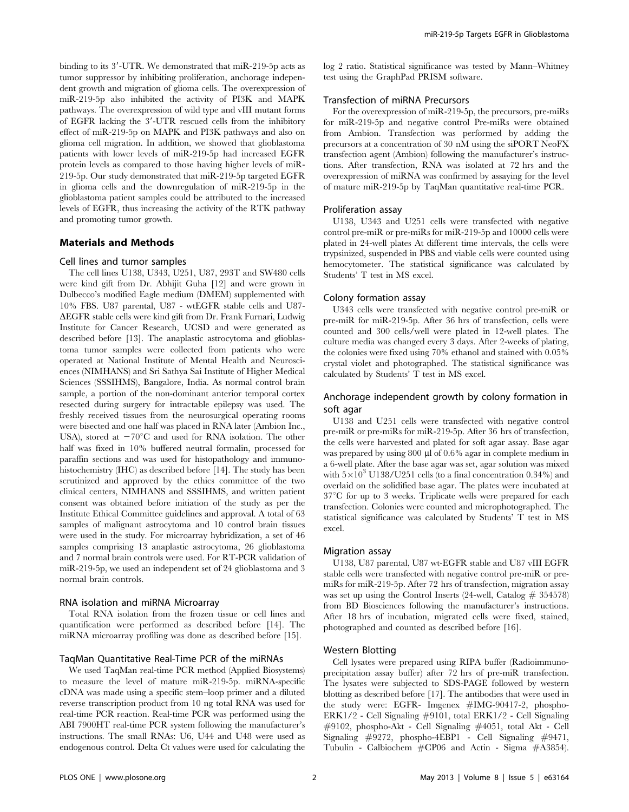binding to its 3'-UTR. We demonstrated that miR-219-5p acts as tumor suppressor by inhibiting proliferation, anchorage independent growth and migration of glioma cells. The overexpression of miR-219-5p also inhibited the activity of PI3K and MAPK pathways. The overexpression of wild type and vIII mutant forms of EGFR lacking the 3'-UTR rescued cells from the inhibitory effect of miR-219-5p on MAPK and PI3K pathways and also on glioma cell migration. In addition, we showed that glioblastoma patients with lower levels of miR-219-5p had increased EGFR protein levels as compared to those having higher levels of miR-219-5p. Our study demonstrated that miR-219-5p targeted EGFR in glioma cells and the downregulation of miR-219-5p in the glioblastoma patient samples could be attributed to the increased levels of EGFR, thus increasing the activity of the RTK pathway and promoting tumor growth.

#### Materials and Methods

#### Cell lines and tumor samples

The cell lines U138, U343, U251, U87, 293T and SW480 cells were kind gift from Dr. Abhijit Guha [12] and were grown in Dulbecco's modified Eagle medium (DMEM) supplemented with 10% FBS. U87 parental, U87 - wtEGFR stable cells and U87-  $\Delta E$ GFR stable cells were kind gift from Dr. Frank Furnari, Ludwig Institute for Cancer Research, UCSD and were generated as described before [13]. The anaplastic astrocytoma and glioblastoma tumor samples were collected from patients who were operated at National Institute of Mental Health and Neurosciences (NIMHANS) and Sri Sathya Sai Institute of Higher Medical Sciences (SSSIHMS), Bangalore, India. As normal control brain sample, a portion of the non-dominant anterior temporal cortex resected during surgery for intractable epilepsy was used. The freshly received tissues from the neurosurgical operating rooms were bisected and one half was placed in RNA later (Ambion Inc., USA), stored at  $-70^{\circ}$ C and used for RNA isolation. The other half was fixed in 10% buffered neutral formalin, processed for paraffin sections and was used for histopathology and immunohistochemistry (IHC) as described before [14]. The study has been scrutinized and approved by the ethics committee of the two clinical centers, NIMHANS and SSSIHMS, and written patient consent was obtained before initiation of the study as per the Institute Ethical Committee guidelines and approval. A total of 63 samples of malignant astrocytoma and 10 control brain tissues were used in the study. For microarray hybridization, a set of 46 samples comprising 13 anaplastic astrocytoma, 26 glioblastoma and 7 normal brain controls were used. For RT-PCR validation of miR-219-5p, we used an independent set of 24 glioblastoma and 3 normal brain controls.

#### RNA isolation and miRNA Microarray

Total RNA isolation from the frozen tissue or cell lines and quantification were performed as described before [14]. The miRNA microarray profiling was done as described before [15].

#### TaqMan Quantitative Real-Time PCR of the miRNAs

We used TaqMan real-time PCR method (Applied Biosystems) to measure the level of mature miR-219-5p. miRNA-specific cDNA was made using a specific stem–loop primer and a diluted reverse transcription product from 10 ng total RNA was used for real-time PCR reaction. Real-time PCR was performed using the ABI 7900HT real-time PCR system following the manufacturer's instructions. The small RNAs: U6, U44 and U48 were used as endogenous control. Delta Ct values were used for calculating the

log 2 ratio. Statistical significance was tested by Mann–Whitney test using the GraphPad PRISM software.

#### Transfection of miRNA Precursors

For the overexpression of miR-219-5p, the precursors, pre-miRs for miR-219-5p and negative control Pre-miRs were obtained from Ambion. Transfection was performed by adding the precursors at a concentration of 30 nM using the siPORT NeoFX transfection agent (Ambion) following the manufacturer's instructions. After transfection, RNA was isolated at 72 hrs and the overexpression of miRNA was confirmed by assaying for the level of mature miR-219-5p by TaqMan quantitative real-time PCR.

#### Proliferation assay

U138, U343 and U251 cells were transfected with negative control pre-miR or pre-miRs for miR-219-5p and 10000 cells were plated in 24-well plates At different time intervals, the cells were trypsinized, suspended in PBS and viable cells were counted using hemocytometer. The statistical significance was calculated by Students' T test in MS excel.

#### Colony formation assay

U343 cells were transfected with negative control pre-miR or pre-miR for miR-219-5p. After 36 hrs of transfection, cells were counted and 300 cells/well were plated in 12-well plates. The culture media was changed every 3 days. After 2-weeks of plating, the colonies were fixed using 70% ethanol and stained with 0.05% crystal violet and photographed. The statistical significance was calculated by Students' T test in MS excel.

## Anchorage independent growth by colony formation in soft agar

U138 and U251 cells were transfected with negative control pre-miR or pre-miRs for miR-219-5p. After 36 hrs of transfection, the cells were harvested and plated for soft agar assay. Base agar was prepared by using 800 µl of 0.6% agar in complete medium in a 6-well plate. After the base agar was set, agar solution was mixed with  $5\times10^3$  U138/U251 cells (to a final concentration 0.34%) and overlaid on the solidified base agar. The plates were incubated at  $37^{\circ}$ C for up to 3 weeks. Triplicate wells were prepared for each transfection. Colonies were counted and microphotographed. The statistical significance was calculated by Students' T test in MS excel.

#### Migration assay

U138, U87 parental, U87 wt-EGFR stable and U87 vIII EGFR stable cells were transfected with negative control pre-miR or premiRs for miR-219-5p. After 72 hrs of transfection, migration assay was set up using the Control Inserts (24-well, Catalog  $\#$  354578) from BD Biosciences following the manufacturer's instructions. After 18 hrs of incubation, migrated cells were fixed, stained, photographed and counted as described before [16].

#### Western Blotting

Cell lysates were prepared using RIPA buffer (Radioimmunoprecipitation assay buffer) after 72 hrs of pre-miR transfection. The lysates were subjected to SDS-PAGE followed by western blotting as described before [17]. The antibodies that were used in the study were: EGFR- Imgenex #IMG-90417-2, phospho-ERK1/2 - Cell Signaling #9101, total ERK1/2 - Cell Signaling #9102, phospho-Akt - Cell Signaling #4051, total Akt - Cell Signaling #9272, phospho-4EBP1 - Cell Signaling #9471, Tubulin - Calbiochem #CP06 and Actin - Sigma #A3854).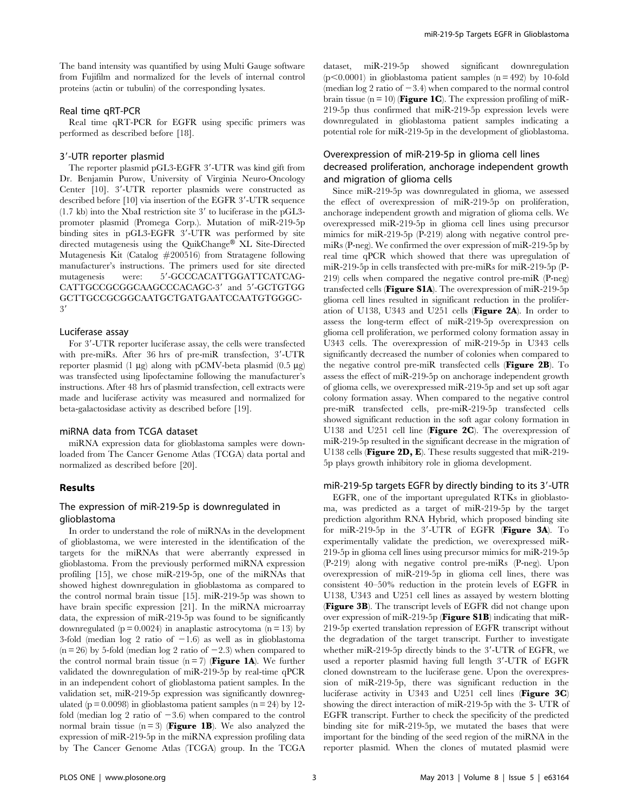The band intensity was quantified by using Multi Gauge software from Fujifilm and normalized for the levels of internal control proteins (actin or tubulin) of the corresponding lysates.

#### Real time qRT-PCR

Real time qRT-PCR for EGFR using specific primers was performed as described before [18].

#### 3'-UTR reporter plasmid

The reporter plasmid pGL3-EGFR 3'-UTR was kind gift from Dr. Benjamin Purow, University of Virginia Neuro-Oncology Center [10]. 3'-UTR reporter plasmids were constructed as described before  $[10]$  via insertion of the EGFR  $3'-UTR$  sequence  $(1.7 \text{ kb})$  into the XbaI restriction site 3' to luciferase in the pGL3promoter plasmid (Promega Corp.). Mutation of miR-219-5p binding sites in pGL3-EGFR 3'-UTR was performed by site directed mutagenesis using the QuikChange® XL Site-Directed Mutagenesis Kit (Catalog #200516) from Stratagene following manufacturer's instructions. The primers used for site directed mutagenesis were: 5'-GCCCACATTGGATTCATCAG-CATTGCCGGGGCAAGCCCACAGC-3' and 5'-GCTGTGG GCTTGCCGCGGCAATGCTGATGAATCCAATGTGGGC- $3'$ 

#### Luciferase assay

For 3'-UTR reporter luciferase assay, the cells were transfected with pre-miRs. After  $36$  hrs of pre-miR transfection,  $3'$ -UTR reporter plasmid (1  $\mu$ g) along with pCMV-beta plasmid (0.5  $\mu$ g) was transfected using lipofectamine following the manufacturer's instructions. After 48 hrs of plasmid transfection, cell extracts were made and luciferase activity was measured and normalized for beta-galactosidase activity as described before [19].

#### miRNA data from TCGA dataset

miRNA expression data for glioblastoma samples were downloaded from The Cancer Genome Atlas (TCGA) data portal and normalized as described before [20].

## Results

#### The expression of miR-219-5p is downregulated in glioblastoma

In order to understand the role of miRNAs in the development of glioblastoma, we were interested in the identification of the targets for the miRNAs that were aberrantly expressed in glioblastoma. From the previously performed miRNA expression profiling [15], we chose miR-219-5p, one of the miRNAs that showed highest downregulation in glioblastoma as compared to the control normal brain tissue [15]. miR-219-5p was shown to have brain specific expression [21]. In the miRNA microarray data, the expression of miR-219-5p was found to be significantly downregulated ( $p = 0.0024$ ) in anaplastic astrocytoma ( $n = 13$ ) by 3-fold (median log 2 ratio of  $-1.6$ ) as well as in glioblastoma  $(n = 26)$  by 5-fold (median log 2 ratio of  $-2.3$ ) when compared to the control normal brain tissue ( $n = 7$ ) (**Figure 1A**). We further validated the downregulation of miR-219-5p by real-time qPCR in an independent cohort of glioblastoma patient samples. In the validation set, miR-219-5p expression was significantly downregulated ( $p = 0.0098$ ) in glioblastoma patient samples ( $n = 24$ ) by 12fold (median log 2 ratio of  $-3.6$ ) when compared to the control normal brain tissue  $(n = 3)$  (**Figure 1B**). We also analyzed the expression of miR-219-5p in the miRNA expression profiling data by The Cancer Genome Atlas (TCGA) group. In the TCGA dataset, miR-219-5p showed significant downregulation  $(p<0.0001)$  in glioblastoma patient samples  $(n = 492)$  by 10-fold (median  $log 2$  ratio of  $-3.4$ ) when compared to the normal control brain tissue ( $n = 10$ ) (**Figure 1C**). The expression profiling of miR-219-5p thus confirmed that miR-219-5p expression levels were downregulated in glioblastoma patient samples indicating a potential role for miR-219-5p in the development of glioblastoma.

## Overexpression of miR-219-5p in glioma cell lines decreased proliferation, anchorage independent growth and migration of glioma cells

Since miR-219-5p was downregulated in glioma, we assessed the effect of overexpression of miR-219-5p on proliferation, anchorage independent growth and migration of glioma cells. We overexpressed miR-219-5p in glioma cell lines using precursor mimics for miR-219-5p (P-219) along with negative control premiRs (P-neg). We confirmed the over expression of miR-219-5p by real time qPCR which showed that there was upregulation of miR-219-5p in cells transfected with pre-miRs for miR-219-5p (P-219) cells when compared the negative control pre-miR (P-neg) transfected cells (**Figure S1A**). The overexpression of miR-219-5p glioma cell lines resulted in significant reduction in the proliferation of U138, U343 and U251 cells (Figure 2A). In order to assess the long-term effect of miR-219-5p overexpression on glioma cell proliferation, we performed colony formation assay in U343 cells. The overexpression of miR-219-5p in U343 cells significantly decreased the number of colonies when compared to the negative control pre-miR transfected cells (Figure 2B). To assess the effect of miR-219-5p on anchorage independent growth of glioma cells, we overexpressed miR-219-5p and set up soft agar colony formation assay. When compared to the negative control pre-miR transfected cells, pre-miR-219-5p transfected cells showed significant reduction in the soft agar colony formation in U138 and U251 cell line (Figure 2C). The overexpression of miR-219-5p resulted in the significant decrease in the migration of U138 cells (**Figure 2D, E**). These results suggested that  $\text{miR-219-}$ 5p plays growth inhibitory role in glioma development.

#### miR-219-5p targets EGFR by directly binding to its 3'-UTR

EGFR, one of the important upregulated RTKs in glioblastoma, was predicted as a target of miR-219-5p by the target prediction algorithm RNA Hybrid, which proposed binding site for miR-219-5p in the  $3'$ -UTR of EGFR (Figure 3A). To experimentally validate the prediction, we overexpressed miR-219-5p in glioma cell lines using precursor mimics for miR-219-5p (P-219) along with negative control pre-miRs (P-neg). Upon overexpression of miR-219-5p in glioma cell lines, there was consistent 40–50% reduction in the protein levels of EGFR in U138, U343 and U251 cell lines as assayed by western blotting (Figure 3B). The transcript levels of EGFR did not change upon over expression of miR-219-5p (**Figure S1B**) indicating that miR-219-5p exerted translation repression of EGFR transcript without the degradation of the target transcript. Further to investigate whether miR-219-5p directly binds to the  $3'$ -UTR of EGFR, we used a reporter plasmid having full length 3'-UTR of EGFR cloned downstream to the luciferase gene. Upon the overexpression of miR-219-5p, there was significant reduction in the luciferase activity in U343 and U251 cell lines (Figure 3C) showing the direct interaction of miR-219-5p with the 3- UTR of EGFR transcript. Further to check the specificity of the predicted binding site for miR-219-5p, we mutated the bases that were important for the binding of the seed region of the miRNA in the reporter plasmid. When the clones of mutated plasmid were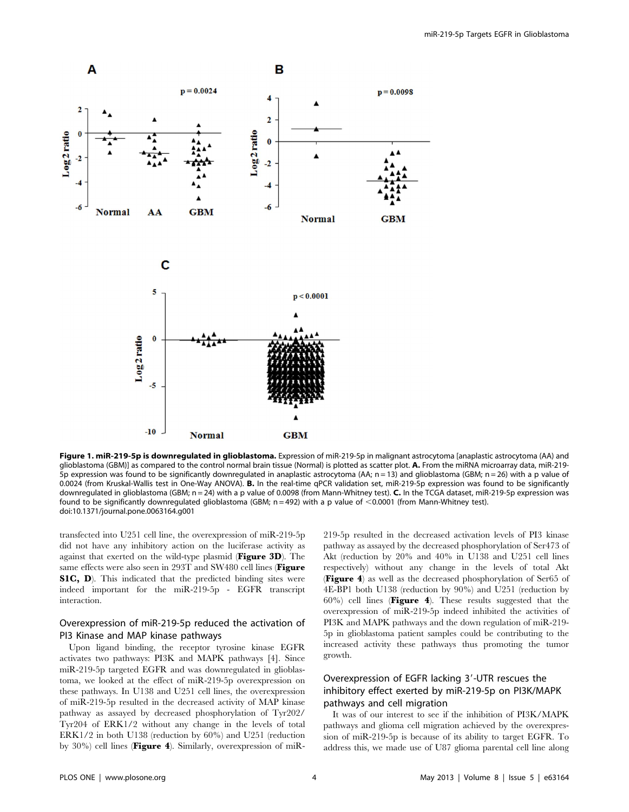

Figure 1. miR-219-5p is downregulated in glioblastoma. Expression of miR-219-5p in malignant astrocytoma [anaplastic astrocytoma (AA) and glioblastoma (GBM)] as compared to the control normal brain tissue (Normal) is plotted as scatter plot. A. From the miRNA microarray data, miR-219- $\overline{5}$ p expression was found to be significantly downregulated in anaplastic astrocytoma (AA; n = 13) and glioblastoma (GBM; n = 26) with a p value of 0.0024 (from Kruskal-Wallis test in One-Way ANOVA). B. In the real-time qPCR validation set, miR-219-5p expression was found to be significantly downregulated in glioblastoma (GBM;  $n = 24$ ) with a p value of 0.0098 (from Mann-Whitney test). C. In the TCGA dataset, miR-219-5p expression was found to be significantly downregulated glioblastoma (GBM;  $n = 492$ ) with a p value of <0.0001 (from Mann-Whitney test). doi:10.1371/journal.pone.0063164.g001

transfected into U251 cell line, the overexpression of miR-219-5p did not have any inhibitory action on the luciferase activity as against that exerted on the wild-type plasmid (Figure 3D). The same effects were also seen in 293T and SW480 cell lines (Figure S1C, D). This indicated that the predicted binding sites were indeed important for the miR-219-5p - EGFR transcript interaction.

## Overexpression of miR-219-5p reduced the activation of PI3 Kinase and MAP kinase pathways

Upon ligand binding, the receptor tyrosine kinase EGFR activates two pathways: PI3K and MAPK pathways [4]. Since miR-219-5p targeted EGFR and was downregulated in glioblastoma, we looked at the effect of miR-219-5p overexpression on these pathways. In U138 and U251 cell lines, the overexpression of miR-219-5p resulted in the decreased activity of MAP kinase pathway as assayed by decreased phosphorylation of Tyr202/ Tyr204 of ERK1/2 without any change in the levels of total ERK1/2 in both U138 (reduction by 60%) and U251 (reduction by 30%) cell lines (Figure 4). Similarly, overexpression of miR- 219-5p resulted in the decreased activation levels of PI3 kinase pathway as assayed by the decreased phosphorylation of Ser473 of Akt (reduction by 20% and 40% in U138 and U251 cell lines respectively) without any change in the levels of total Akt (Figure 4) as well as the decreased phosphorylation of Ser65 of 4E-BP1 both U138 (reduction by 90%) and U251 (reduction by  $60\%$  cell lines (Figure 4). These results suggested that the overexpression of miR-219-5p indeed inhibited the activities of PI3K and MAPK pathways and the down regulation of miR-219- 5p in glioblastoma patient samples could be contributing to the increased activity these pathways thus promoting the tumor growth.

## Overexpression of EGFR lacking 3'-UTR rescues the inhibitory effect exerted by miR-219-5p on PI3K/MAPK pathways and cell migration

It was of our interest to see if the inhibition of PI3K/MAPK pathways and glioma cell migration achieved by the overexpression of miR-219-5p is because of its ability to target EGFR. To address this, we made use of U87 glioma parental cell line along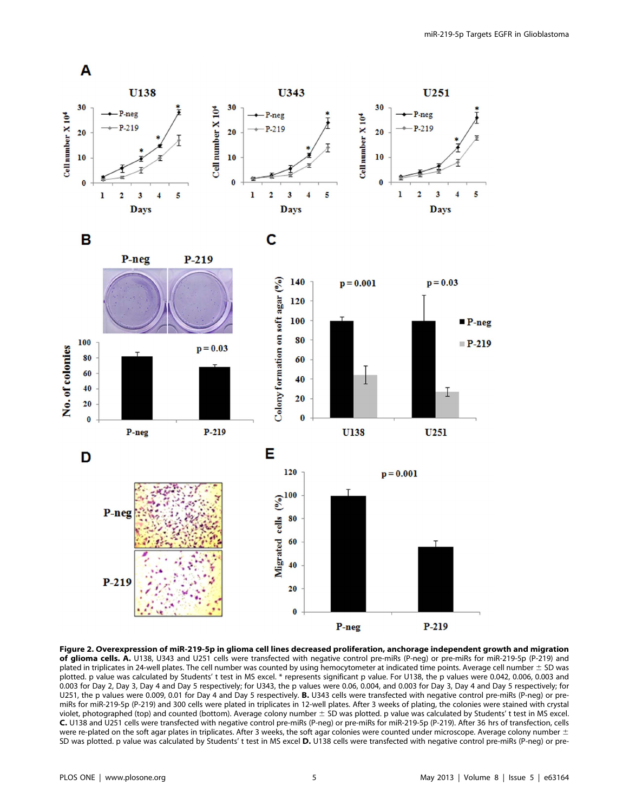

Figure 2. Overexpression of miR-219-5p in glioma cell lines decreased proliferation, anchorage independent growth and migration of glioma cells. A. U138, U343 and U251 cells were transfected with negative control pre-miRs (P-neg) or pre-miRs for miR-219-5p (P-219) and plated in triplicates in 24-well plates. The cell number was counted by using hemocytometer at indicated time points. Average cell number  $\pm$  SD was plotted. p value was calculated by Students' t test in MS excel. \* represents significant p value. For U138, the p values were 0.042, 0.006, 0.003 and 0.003 for Day 2, Day 3, Day 4 and Day 5 respectively; for U343, the p values were 0.06, 0.004, and 0.003 for Day 3, Day 4 and Day 5 respectively; for U251, the p values were 0.009, 0.01 for Day 4 and Day 5 respectively. B. U343 cells were transfected with negative control pre-miRs (P-neg) or premiRs for miR-219-5p (P-219) and 300 cells were plated in triplicates in 12-well plates. After 3 weeks of plating, the colonies were stained with crystal violet, photographed (top) and counted (bottom). Average colony number  $\pm$  SD was plotted. p value was calculated by Students' t test in MS excel. C. U138 and U251 cells were transfected with negative control pre-miRs (P-neg) or pre-miRs for miR-219-5p (P-219). After 36 hrs of transfection, cells were re-plated on the soft agar plates in triplicates. After 3 weeks, the soft agar colonies were counted under microscope. Average colony number  $\pm$ SD was plotted. p value was calculated by Students' t test in MS excel D. U138 cells were transfected with negative control pre-miRs (P-neg) or pre-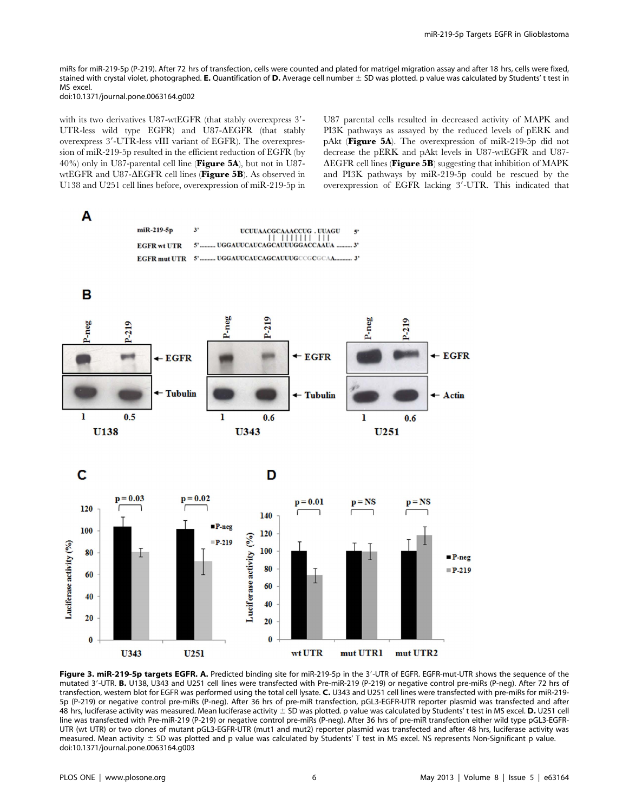miRs for miR-219-5p (P-219). After 72 hrs of transfection, cells were counted and plated for matrigel migration assay and after 18 hrs, cells were fixed, stained with crystal violet, photographed. E. Quantification of D. Average cell number  $\pm$  SD was plotted. p value was calculated by Students' t test in MS excel.

doi:10.1371/journal.pone.0063164.g002

with its two derivatives U87-wtEGFR (that stably overexpress 3'-UTR-less wild type EGFR) and U87- $\triangle E$ GFR (that stably overexpress 3'-UTR-less vIII variant of EGFR). The overexpression of miR-219-5p resulted in the efficient reduction of EGFR (by 40%) only in U87-parental cell line (Figure 5A), but not in U87 wtEGFR and U87- $\Delta$ EGFR cell lines (Figure 5B). As observed in U138 and U251 cell lines before, overexpression of miR-219-5p in U87 parental cells resulted in decreased activity of MAPK and PI3K pathways as assayed by the reduced levels of pERK and pAkt (Figure 5A). The overexpression of miR-219-5p did not decrease the pERK and pAkt levels in U87-wtEGFR and U87-  $\Delta E$ GFR cell lines (**Figure 5B**) suggesting that inhibition of MAPK and PI3K pathways by miR-219-5p could be rescued by the overexpression of EGFR lacking 3'-UTR. This indicated that



Figure 3. miR-219-5p targets EGFR. A. Predicted binding site for miR-219-5p in the 3'-UTR of EGFR. EGFR-mut-UTR shows the sequence of the mutated 3'-UTR. B. U138, U343 and U251 cell lines were transfected with Pre-miR-219 (P-219) or negative control pre-miRs (P-neg). After 72 hrs of transfection, western blot for EGFR was performed using the total cell lysate. C. U343 and U251 cell lines were transfected with pre-miRs for miR-219- 5p (P-219) or negative control pre-miRs (P-neg). After 36 hrs of pre-miR transfection, pGL3-EGFR-UTR reporter plasmid was transfected and after 48 hrs, luciferase activity was measured. Mean luciferase activity  $\pm$  SD was plotted. p value was calculated by Students' t test in MS excel. D. U251 cell line was transfected with Pre-miR-219 (P-219) or negative control pre-miRs (P-neq). After 36 hrs of pre-miR transfection either wild type pGL3-EGFR-UTR (wt UTR) or two clones of mutant pGL3-EGFR-UTR (mut1 and mut2) reporter plasmid was transfected and after 48 hrs, luciferase activity was measured. Mean activity  $\pm$  SD was plotted and p value was calculated by Students' T test in MS excel. NS represents Non-Significant p value. doi:10.1371/journal.pone.0063164.g003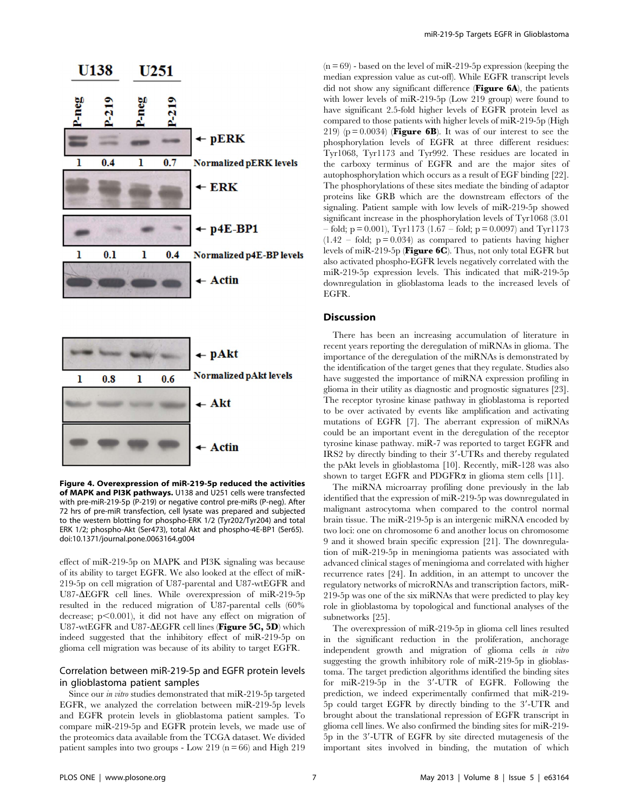

Figure 4. Overexpression of miR-219-5p reduced the activities of MAPK and PI3K pathways. U138 and U251 cells were transfected with pre-miR-219-5p (P-219) or negative control pre-miRs (P-neg). After 72 hrs of pre-miR transfection, cell lysate was prepared and subjected to the western blotting for phospho-ERK 1/2 (Tyr202/Tyr204) and total ERK 1/2; phospho-Akt (Ser473), total Akt and phospho-4E-BP1 (Ser65). doi:10.1371/journal.pone.0063164.g004

effect of miR-219-5p on MAPK and PI3K signaling was because of its ability to target EGFR. We also looked at the effect of miR-219-5p on cell migration of U87-parental and U87-wtEGFR and U87- $\triangle E$ GFR cell lines. While overexpression of miR-219-5p resulted in the reduced migration of U87-parental cells (60% decrease;  $p<0.001$ ), it did not have any effect on migration of U87-wtEGFR and U87- $\Delta$ EGFR cell lines (Figure 5C, 5D) which indeed suggested that the inhibitory effect of miR-219-5p on glioma cell migration was because of its ability to target EGFR.

## Correlation between miR-219-5p and EGFR protein levels in glioblastoma patient samples

Since our in vitro studies demonstrated that miR-219-5p targeted EGFR, we analyzed the correlation between miR-219-5p levels and EGFR protein levels in glioblastoma patient samples. To compare miR-219-5p and EGFR protein levels, we made use of the proteomics data available from the TCGA dataset. We divided patient samples into two groups - Low 219 ( $n = 66$ ) and High 219  $(n = 69)$  - based on the level of miR-219-5p expression (keeping the median expression value as cut-off). While EGFR transcript levels did not show any significant difference (Figure 6A), the patients with lower levels of miR-219-5p (Low 219 group) were found to have significant 2.5-fold higher levels of EGFR protein level as compared to those patients with higher levels of miR-219-5p (High 219) ( $p = 0.0034$ ) (**Figure 6B**). It was of our interest to see the phosphorylation levels of EGFR at three different residues: Tyr1068, Tyr1173 and Tyr992. These residues are located in the carboxy terminus of EGFR and are the major sites of autophosphorylation which occurs as a result of EGF binding [22]. The phosphorylations of these sites mediate the binding of adaptor proteins like GRB which are the downstream effectors of the signaling. Patient sample with low levels of miR-219-5p showed significant increase in the phosphorylation levels of Tyr1068 (3.01  $-$  fold; p = 0.001), Tyr1173 (1.67 – fold; p = 0.0097) and Tyr1173  $(1.42 - fold; p = 0.034)$  as compared to patients having higher levels of miR-219-5p (Figure 6C). Thus, not only total EGFR but also activated phospho-EGFR levels negatively correlated with the miR-219-5p expression levels. This indicated that miR-219-5p downregulation in glioblastoma leads to the increased levels of EGFR.

### Discussion

There has been an increasing accumulation of literature in recent years reporting the deregulation of miRNAs in glioma. The importance of the deregulation of the miRNAs is demonstrated by the identification of the target genes that they regulate. Studies also have suggested the importance of miRNA expression profiling in glioma in their utility as diagnostic and prognostic signatures [23]. The receptor tyrosine kinase pathway in glioblastoma is reported to be over activated by events like amplification and activating mutations of EGFR [7]. The aberrant expression of miRNAs could be an important event in the deregulation of the receptor tyrosine kinase pathway. miR-7 was reported to target EGFR and IRS2 by directly binding to their 3'-UTRs and thereby regulated the pAkt levels in glioblastoma [10]. Recently, miR-128 was also shown to target EGFR and PDGFR $\alpha$  in glioma stem cells [11].

The miRNA microarray profiling done previously in the lab identified that the expression of miR-219-5p was downregulated in malignant astrocytoma when compared to the control normal brain tissue. The miR-219-5p is an intergenic miRNA encoded by two loci: one on chromosome 6 and another locus on chromosome 9 and it showed brain specific expression [21]. The downregulation of miR-219-5p in meningioma patients was associated with advanced clinical stages of meningioma and correlated with higher recurrence rates [24]. In addition, in an attempt to uncover the regulatory networks of microRNAs and transcription factors, miR-219-5p was one of the six miRNAs that were predicted to play key role in glioblastoma by topological and functional analyses of the subnetworks [25].

The overexpression of miR-219-5p in glioma cell lines resulted in the significant reduction in the proliferation, anchorage independent growth and migration of glioma cells in vitro suggesting the growth inhibitory role of miR-219-5p in glioblastoma. The target prediction algorithms identified the binding sites for miR-219-5p in the 3'-UTR of EGFR. Following the prediction, we indeed experimentally confirmed that miR-219- 5p could target EGFR by directly binding to the 3'-UTR and brought about the translational repression of EGFR transcript in glioma cell lines. We also confirmed the binding sites for miR-219- 5p in the 3'-UTR of EGFR by site directed mutagenesis of the important sites involved in binding, the mutation of which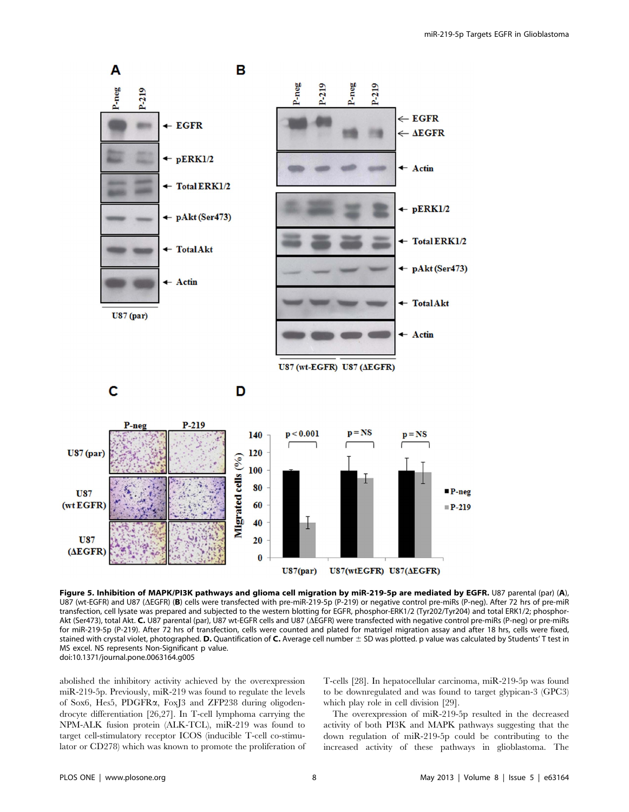

Figure 5. Inhibition of MAPK/PI3K pathways and glioma cell migration by miR-219-5p are mediated by EGFR. U87 parental (par) (A), U87 (wt-EGFR) and U87 ( $\Delta$ EGFR) (B) cells were transfected with pre-miR-219-5p (P-219) or negative control pre-miRs (P-neg). After 72 hrs of pre-miR transfection, cell lysate was prepared and subjected to the western blotting for EGFR, phosphor-ERK1/2 (Tyr202/Tyr204) and total ERK1/2; phosphor-Akt (Ser473), total Akt. C. U87 parental (par), U87 wt-EGFR cells and U87 ( $\Delta E$ GFR) were transfected with negative control pre-miRs (P-neg) or pre-miRs for miR-219-5p (P-219). After 72 hrs of transfection, cells were counted and plated for matrigel migration assay and after 18 hrs, cells were fixed, stained with crystal violet, photographed. D. Quantification of C. Average cell number  $\pm$  SD was plotted. p value was calculated by Students' T test in MS excel. NS represents Non-Significant p value. doi:10.1371/journal.pone.0063164.g005

abolished the inhibitory activity achieved by the overexpression miR-219-5p. Previously, miR-219 was found to regulate the levels of Sox6, Hes5, PDGFRa, FoxJ3 and ZFP238 during oligodendrocyte differentiation [26,27]. In T-cell lymphoma carrying the NPM-ALK fusion protein (ALK-TCL), miR-219 was found to target cell-stimulatory receptor ICOS (inducible T-cell co-stimulator or CD278) which was known to promote the proliferation of T-cells [28]. In hepatocellular carcinoma, miR-219-5p was found to be downregulated and was found to target glypican-3 (GPC3) which play role in cell division [29].

The overexpression of miR-219-5p resulted in the decreased activity of both PI3K and MAPK pathways suggesting that the down regulation of miR-219-5p could be contributing to the increased activity of these pathways in glioblastoma. The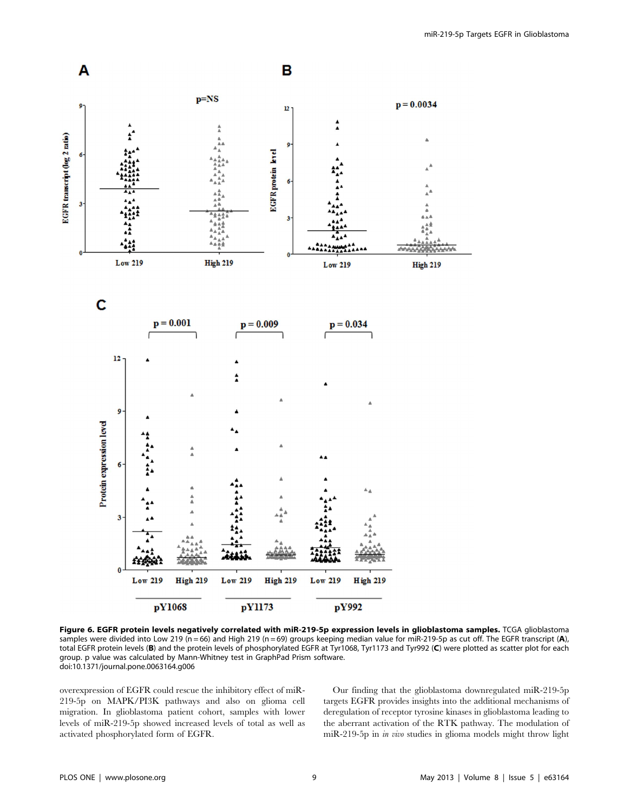

Figure 6. EGFR protein levels negatively correlated with miR-219-5p expression levels in glioblastoma samples. TCGA glioblastoma samples were divided into Low 219 (n = 66) and High 219 (n = 69) groups keeping median value for miR-219-5p as cut off. The EGFR transcript (A), total EGFR protein levels (B) and the protein levels of phosphorylated EGFR at Tyr1068, Tyr1173 and Tyr992 (C) were plotted as scatter plot for each group. p value was calculated by Mann-Whitney test in GraphPad Prism software. doi:10.1371/journal.pone.0063164.g006

overexpression of EGFR could rescue the inhibitory effect of miR-219-5p on MAPK/PI3K pathways and also on glioma cell migration. In glioblastoma patient cohort, samples with lower levels of miR-219-5p showed increased levels of total as well as activated phosphorylated form of EGFR.

Our finding that the glioblastoma downregulated miR-219-5p targets EGFR provides insights into the additional mechanisms of deregulation of receptor tyrosine kinases in glioblastoma leading to the aberrant activation of the RTK pathway. The modulation of miR-219-5p in in vivo studies in glioma models might throw light